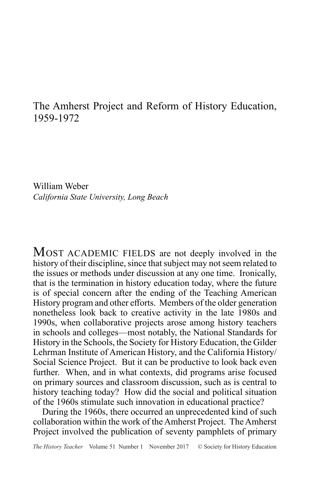# The Amherst Project and Reform of History Education, 1959-1972

William Weber *California State University, Long Beach*

MOST ACADEMIC FIELDS are not deeply involved in the history of their discipline, since that subject may not seem related to the issues or methods under discussion at any one time. Ironically, that is the termination in history education today, where the future is of special concern after the ending of the Teaching American History program and other efforts. Members of the older generation nonetheless look back to creative activity in the late 1980s and 1990s, when collaborative projects arose among history teachers in schools and colleges—most notably, the National Standards for History in the Schools, the Society for History Education, the Gilder Lehrman Institute of American History, and the California History/ Social Science Project. But it can be productive to look back even further. When, and in what contexts, did programs arise focused on primary sources and classroom discussion, such as is central to history teaching today? How did the social and political situation of the 1960s stimulate such innovation in educational practice?

During the 1960s, there occurred an unprecedented kind of such collaboration within the work of the Amherst Project. The Amherst Project involved the publication of seventy pamphlets of primary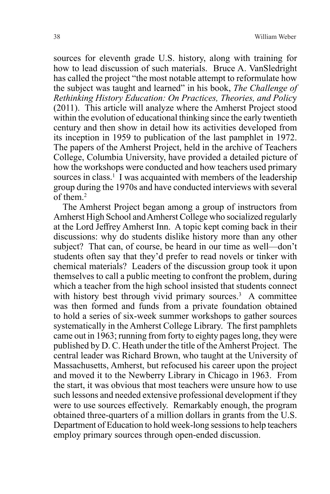sources for eleventh grade U.S. history, along with training for how to lead discussion of such materials. Bruce A. VanSledright has called the project "the most notable attempt to reformulate how the subject was taught and learned" in his book, *The Challenge of Rethinking History Education: On Practices, Theories, and Polic*y (2011). This article will analyze where the Amherst Project stood within the evolution of educational thinking since the early twentieth century and then show in detail how its activities developed from its inception in 1959 to publication of the last pamphlet in 1972. The papers of the Amherst Project, held in the archive of Teachers College, Columbia University, have provided a detailed picture of how the workshops were conducted and how teachers used primary sources in class.<sup>1</sup> I was acquainted with members of the leadership group during the 1970s and have conducted interviews with several of them.2

The Amherst Project began among a group of instructors from Amherst High School and Amherst College who socialized regularly at the Lord Jeffrey Amherst Inn. A topic kept coming back in their discussions: why do students dislike history more than any other subject? That can, of course, be heard in our time as well—don't students often say that they'd prefer to read novels or tinker with chemical materials? Leaders of the discussion group took it upon themselves to call a public meeting to confront the problem, during which a teacher from the high school insisted that students connect with history best through vivid primary sources.<sup>3</sup> A committee was then formed and funds from a private foundation obtained to hold a series of six-week summer workshops to gather sources systematically in the Amherst College Library. The first pamphlets came out in 1963; running from forty to eighty pages long, they were published by D. C. Heath under the title of the Amherst Project. The central leader was Richard Brown, who taught at the University of Massachusetts, Amherst, but refocused his career upon the project and moved it to the Newberry Library in Chicago in 1963. From the start, it was obvious that most teachers were unsure how to use such lessons and needed extensive professional development if they were to use sources effectively. Remarkably enough, the program obtained three-quarters of a million dollars in grants from the U.S. Department of Education to hold week-long sessions to help teachers employ primary sources through open-ended discussion.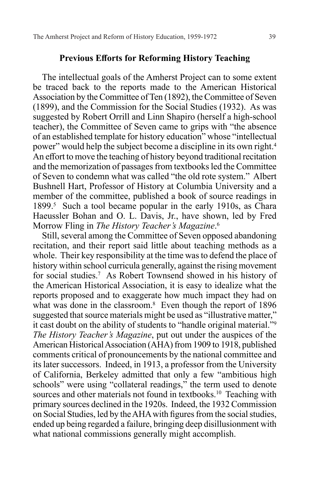#### **Previous Efforts for Reforming History Teaching**

The intellectual goals of the Amherst Project can to some extent be traced back to the reports made to the American Historical Association by the Committee of Ten (1892), the Committee of Seven (1899), and the Commission for the Social Studies (1932). As was suggested by Robert Orrill and Linn Shapiro (herself a high-school teacher), the Committee of Seven came to grips with "the absence of an established template for history education" whose "intellectual power" would help the subject become a discipline in its own right.4 An effort to move the teaching of history beyond traditional recitation and the memorization of passages from textbooks led the Committee of Seven to condemn what was called "the old rote system." Albert Bushnell Hart, Professor of History at Columbia University and a member of the committee, published a book of source readings in 1899.<sup>5</sup> Such a tool became popular in the early 1910s, as Chara Haeussler Bohan and O. L. Davis, Jr., have shown, led by Fred Morrow Fling in *The History Teacher's Magazine*. 6

Still, several among the Committee of Seven opposed abandoning recitation, and their report said little about teaching methods as a whole. Their key responsibility at the time was to defend the place of history within school curricula generally, against the rising movement for social studies.7 As Robert Townsend showed in his history of the American Historical Association, it is easy to idealize what the reports proposed and to exaggerate how much impact they had on what was done in the classroom.<sup>8</sup> Even though the report of 1896 suggested that source materials might be used as "illustrative matter," it cast doubt on the ability of students to "handle original material."9 *The History Teacher's Magazine*, put out under the auspices of the American Historical Association (AHA) from 1909 to 1918, published comments critical of pronouncements by the national committee and its later successors. Indeed, in 1913, a professor from the University of California, Berkeley admitted that only a few "ambitious high schools" were using "collateral readings," the term used to denote sources and other materials not found in textbooks.<sup>10</sup> Teaching with primary sources declined in the 1920s. Indeed, the 1932 Commission on Social Studies, led by the AHA with figures from the social studies, ended up being regarded a failure, bringing deep disillusionment with what national commissions generally might accomplish.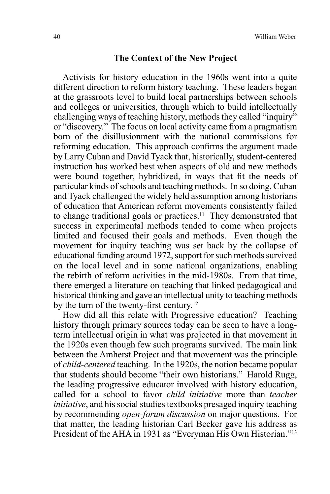#### **The Context of the New Project**

Activists for history education in the 1960s went into a quite different direction to reform history teaching. These leaders began at the grassroots level to build local partnerships between schools and colleges or universities, through which to build intellectually challenging ways of teaching history, methods they called "inquiry" or "discovery." The focus on local activity came from a pragmatism born of the disillusionment with the national commissions for reforming education. This approach confirms the argument made by Larry Cuban and David Tyack that, historically, student-centered instruction has worked best when aspects of old and new methods were bound together, hybridized, in ways that fit the needs of particular kinds of schools and teaching methods. In so doing, Cuban and Tyack challenged the widely held assumption among historians of education that American reform movements consistently failed to change traditional goals or practices.<sup>11</sup> They demonstrated that success in experimental methods tended to come when projects limited and focused their goals and methods. Even though the movement for inquiry teaching was set back by the collapse of educational funding around 1972, support for such methods survived on the local level and in some national organizations, enabling the rebirth of reform activities in the mid-1980s. From that time, there emerged a literature on teaching that linked pedagogical and historical thinking and gave an intellectual unity to teaching methods by the turn of the twenty-first century.<sup>12</sup>

How did all this relate with Progressive education? Teaching history through primary sources today can be seen to have a longterm intellectual origin in what was projected in that movement in the 1920s even though few such programs survived. The main link between the Amherst Project and that movement was the principle of *child-centered* teaching. In the 1920s, the notion became popular that students should become "their own historians." Harold Rugg, the leading progressive educator involved with history education, called for a school to favor *child initiative* more than *teacher initiative*, and his social studies textbooks presaged inquiry teaching by recommending *open-forum discussion* on major questions. For that matter, the leading historian Carl Becker gave his address as President of the AHA in 1931 as "Everyman His Own Historian."<sup>13</sup>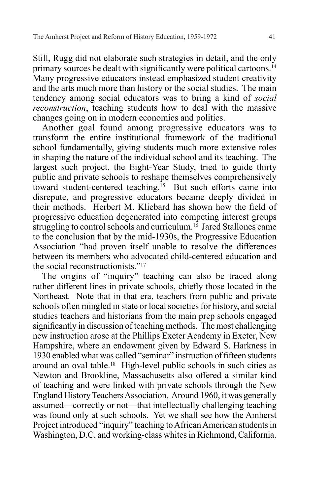Still, Rugg did not elaborate such strategies in detail, and the only primary sources he dealt with significantly were political cartoons.<sup>14</sup> Many progressive educators instead emphasized student creativity and the arts much more than history or the social studies. The main tendency among social educators was to bring a kind of *social reconstruction*, teaching students how to deal with the massive changes going on in modern economics and politics.

Another goal found among progressive educators was to transform the entire institutional framework of the traditional school fundamentally, giving students much more extensive roles in shaping the nature of the individual school and its teaching. The largest such project, the Eight-Year Study, tried to guide thirty public and private schools to reshape themselves comprehensively toward student-centered teaching.<sup>15</sup> But such efforts came into disrepute, and progressive educators became deeply divided in their methods. Herbert M. Kliebard has shown how the field of progressive education degenerated into competing interest groups struggling to control schools and curriculum.<sup>16</sup> Jared Stallones came to the conclusion that by the mid-1930s, the Progressive Education Association "had proven itself unable to resolve the differences between its members who advocated child-centered education and the social reconstructionists."17

The origins of "inquiry" teaching can also be traced along rather different lines in private schools, chiefly those located in the Northeast. Note that in that era, teachers from public and private schools often mingled in state or local societies for history, and social studies teachers and historians from the main prep schools engaged significantly in discussion of teaching methods. The most challenging new instruction arose at the Phillips Exeter Academy in Exeter, New Hampshire, where an endowment given by Edward S. Harkness in 1930 enabled what was called "seminar" instruction of fifteen students around an oval table.18 High-level public schools in such cities as Newton and Brookline, Massachusetts also offered a similar kind of teaching and were linked with private schools through the New England History Teachers Association. Around 1960, it was generally assumed—correctly or not—that intellectually challenging teaching was found only at such schools. Yet we shall see how the Amherst Project introduced "inquiry" teaching to African American students in Washington, D.C. and working-class whites in Richmond, California.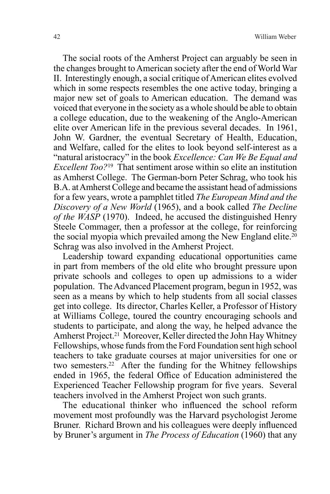The social roots of the Amherst Project can arguably be seen in the changes brought to American society after the end of World War II. Interestingly enough, a social critique of American elites evolved which in some respects resembles the one active today, bringing a major new set of goals to American education. The demand was voiced that everyone in the society as a whole should be able to obtain a college education, due to the weakening of the Anglo-American elite over American life in the previous several decades. In 1961, John W. Gardner, the eventual Secretary of Health, Education, and Welfare, called for the elites to look beyond self-interest as a "natural aristocracy" in the book *Excellence: Can We Be Equal and Excellent Too?*19 That sentiment arose within so elite an institution as Amherst College. The German-born Peter Schrag, who took his B.A. at Amherst College and became the assistant head of admissions for a few years, wrote a pamphlet titled *The European Mind and the Discovery of a New World* (1965), and a book called *The Decline of the WASP* (1970). Indeed, he accused the distinguished Henry Steele Commager, then a professor at the college, for reinforcing the social myopia which prevailed among the New England elite.<sup>20</sup> Schrag was also involved in the Amherst Project.

Leadership toward expanding educational opportunities came in part from members of the old elite who brought pressure upon private schools and colleges to open up admissions to a wider population. The Advanced Placement program, begun in 1952, was seen as a means by which to help students from all social classes get into college. Its director, Charles Keller, a Professor of History at Williams College, toured the country encouraging schools and students to participate, and along the way, he helped advance the Amherst Project.21 Moreover, Keller directed the John Hay Whitney Fellowships, whose funds from the Ford Foundation sent high school teachers to take graduate courses at major universities for one or two semesters.22 After the funding for the Whitney fellowships ended in 1965, the federal Office of Education administered the Experienced Teacher Fellowship program for five years. Several teachers involved in the Amherst Project won such grants.

The educational thinker who influenced the school reform movement most profoundly was the Harvard psychologist Jerome Bruner. Richard Brown and his colleagues were deeply influenced by Bruner's argument in *The Process of Education* (1960) that any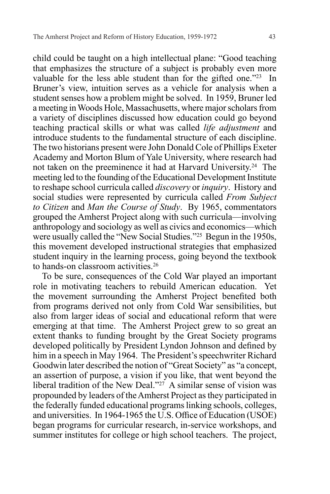child could be taught on a high intellectual plane: "Good teaching that emphasizes the structure of a subject is probably even more valuable for the less able student than for the gifted one."23 In Bruner's view, intuition serves as a vehicle for analysis when a student senses how a problem might be solved. In 1959, Bruner led a meeting in Woods Hole, Massachusetts, where major scholars from a variety of disciplines discussed how education could go beyond teaching practical skills or what was called *life adjustment* and introduce students to the fundamental structure of each discipline. The two historians present were John Donald Cole of Phillips Exeter Academy and Morton Blum of Yale University, where research had not taken on the preeminence it had at Harvard University.24 The meeting led to the founding of the Educational Development Institute to reshape school curricula called *discovery* or *inquiry*. History and social studies were represented by curricula called *From Subject to Citizen* and *Man the Course of Study*. By 1965, commentators grouped the Amherst Project along with such curricula—involving anthropology and sociology as well as civics and economics—which were usually called the "New Social Studies."25 Begun in the 1950s, this movement developed instructional strategies that emphasized student inquiry in the learning process, going beyond the textbook to hands-on classroom activities.26

To be sure, consequences of the Cold War played an important role in motivating teachers to rebuild American education. Yet the movement surrounding the Amherst Project benefited both from programs derived not only from Cold War sensibilities, but also from larger ideas of social and educational reform that were emerging at that time. The Amherst Project grew to so great an extent thanks to funding brought by the Great Society programs developed politically by President Lyndon Johnson and defined by him in a speech in May 1964. The President's speechwriter Richard Goodwin later described the notion of "Great Society" as "a concept, an assertion of purpose, a vision if you like, that went beyond the liberal tradition of the New Deal."<sup>27</sup> A similar sense of vision was propounded by leaders of the Amherst Project as they participated in the federally funded educational programs linking schools, colleges, and universities. In 1964-1965 the U.S. Office of Education (USOE) began programs for curricular research, in-service workshops, and summer institutes for college or high school teachers. The project,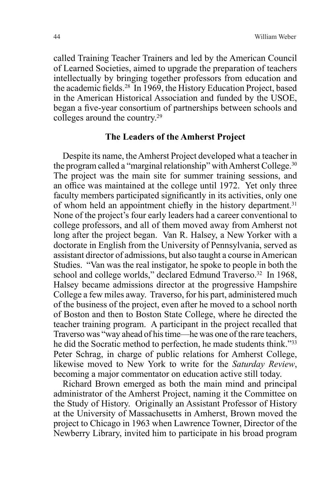called Training Teacher Trainers and led by the American Council of Learned Societies, aimed to upgrade the preparation of teachers intellectually by bringing together professors from education and the academic fields.28 In 1969, the History Education Project, based in the American Historical Association and funded by the USOE, began a five-year consortium of partnerships between schools and colleges around the country.29

#### **The Leaders of the Amherst Project**

Despite its name, the Amherst Project developed what a teacher in the program called a "marginal relationship" with Amherst College.<sup>30</sup> The project was the main site for summer training sessions, and an office was maintained at the college until 1972. Yet only three faculty members participated significantly in its activities, only one of whom held an appointment chiefly in the history department.<sup>31</sup> None of the project's four early leaders had a career conventional to college professors, and all of them moved away from Amherst not long after the project began. Van R. Halsey, a New Yorker with a doctorate in English from the University of Pennsylvania, served as assistant director of admissions, but also taught a course in American Studies. "Van was the real instigator, he spoke to people in both the school and college worlds," declared Edmund Traverso.<sup>32</sup> In 1968, Halsey became admissions director at the progressive Hampshire College a few miles away. Traverso, for his part, administered much of the business of the project, even after he moved to a school north of Boston and then to Boston State College, where he directed the teacher training program. A participant in the project recalled that Traverso was "way ahead of his time—he was one of the rare teachers, he did the Socratic method to perfection, he made students think."33 Peter Schrag, in charge of public relations for Amherst College, likewise moved to New York to write for the *Saturday Review*, becoming a major commentator on education active still today.

Richard Brown emerged as both the main mind and principal administrator of the Amherst Project, naming it the Committee on the Study of History. Originally an Assistant Professor of History at the University of Massachusetts in Amherst, Brown moved the project to Chicago in 1963 when Lawrence Towner, Director of the Newberry Library, invited him to participate in his broad program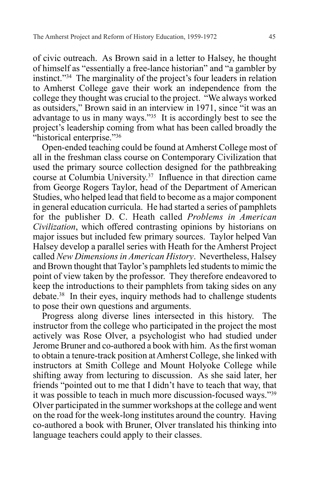of civic outreach. As Brown said in a letter to Halsey, he thought of himself as "essentially a free-lance historian" and "a gambler by instinct."34 The marginality of the project's four leaders in relation to Amherst College gave their work an independence from the college they thought was crucial to the project. "We always worked as outsiders," Brown said in an interview in 1971, since "it was an advantage to us in many ways." $35$  It is accordingly best to see the project's leadership coming from what has been called broadly the "historical enterprise."<sup>36</sup>

Open-ended teaching could be found at Amherst College most of all in the freshman class course on Contemporary Civilization that used the primary source collection designed for the pathbreaking course at Columbia University.37 Influence in that direction came from George Rogers Taylor, head of the Department of American Studies, who helped lead that field to become as a major component in general education curricula. He had started a series of pamphlets for the publisher D. C. Heath called *Problems in American Civilization*, which offered contrasting opinions by historians on major issues but included few primary sources. Taylor helped Van Halsey develop a parallel series with Heath for the Amherst Project called *New Dimensions in American History*. Nevertheless, Halsey and Brown thought that Taylor's pamphlets led students to mimic the point of view taken by the professor. They therefore endeavored to keep the introductions to their pamphlets from taking sides on any debate.38 In their eyes, inquiry methods had to challenge students to pose their own questions and arguments.

Progress along diverse lines intersected in this history. The instructor from the college who participated in the project the most actively was Rose Olver, a psychologist who had studied under Jerome Bruner and co-authored a book with him. As the first woman to obtain a tenure-track position at Amherst College, she linked with instructors at Smith College and Mount Holyoke College while shifting away from lecturing to discussion. As she said later, her friends "pointed out to me that I didn't have to teach that way, that it was possible to teach in much more discussion-focused ways."39 Olver participated in the summer workshops at the college and went on the road for the week-long institutes around the country. Having co-authored a book with Bruner, Olver translated his thinking into language teachers could apply to their classes.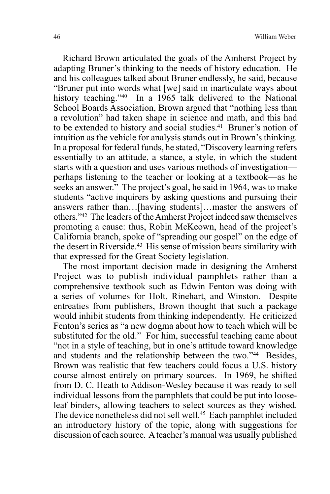Richard Brown articulated the goals of the Amherst Project by adapting Bruner's thinking to the needs of history education. He and his colleagues talked about Bruner endlessly, he said, because "Bruner put into words what [we] said in inarticulate ways about history teaching."<sup>40</sup> In a 1965 talk delivered to the National School Boards Association, Brown argued that "nothing less than a revolution" had taken shape in science and math, and this had to be extended to history and social studies.<sup>41</sup> Bruner's notion of intuition as the vehicle for analysis stands out in Brown's thinking. In a proposal for federal funds, he stated, "Discovery learning refers essentially to an attitude, a stance, a style, in which the student starts with a question and uses various methods of investigation perhaps listening to the teacher or looking at a textbook—as he seeks an answer." The project's goal, he said in 1964, was to make students "active inquirers by asking questions and pursuing their answers rather than…[having students]…master the answers of others."42 The leaders of the Amherst Project indeed saw themselves promoting a cause: thus, Robin McKeown, head of the project's California branch, spoke of "spreading our gospel" on the edge of the desert in Riverside.<sup>43</sup> His sense of mission bears similarity with that expressed for the Great Society legislation.

The most important decision made in designing the Amherst Project was to publish individual pamphlets rather than a comprehensive textbook such as Edwin Fenton was doing with a series of volumes for Holt, Rinehart, and Winston. Despite entreaties from publishers, Brown thought that such a package would inhibit students from thinking independently. He criticized Fenton's series as "a new dogma about how to teach which will be substituted for the old." For him, successful teaching came about "not in a style of teaching, but in one's attitude toward knowledge and students and the relationship between the two."44 Besides, Brown was realistic that few teachers could focus a U.S. history course almost entirely on primary sources. In 1969, he shifted from D. C. Heath to Addison-Wesley because it was ready to sell individual lessons from the pamphlets that could be put into looseleaf binders, allowing teachers to select sources as they wished. The device nonetheless did not sell well.<sup>45</sup> Each pamphlet included an introductory history of the topic, along with suggestions for discussion of each source. A teacher's manual was usually published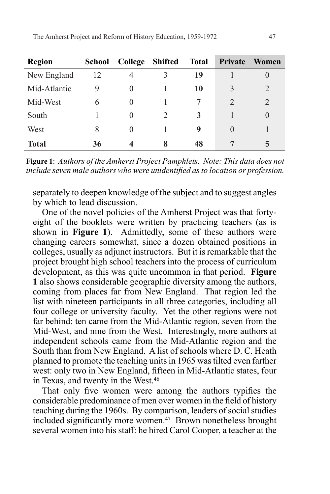| <b>Region</b> | <b>School</b> | College  | Shifted | <b>Total</b> | <b>Private</b>              | Women          |
|---------------|---------------|----------|---------|--------------|-----------------------------|----------------|
| New England   | 12            | 4        | 3       | 19           |                             | $\theta$       |
| Mid-Atlantic  | 9             | $\theta$ |         | 10           | 3                           | 2              |
| Mid-West      | 6             | $\theta$ |         |              | $\mathcal{D}_{\mathcal{L}}$ | $\overline{2}$ |
| South         |               | $\Omega$ |         | 3            |                             | $\theta$       |
| West          | 8             | $\theta$ |         | 9            | $\mathbf{O}$                |                |
| <b>Total</b>  | 36            | 4        | 8       | 48           |                             | C.             |

**Figure 1**: *Authors of the Amherst Project Pamphlets. Note: This data does not include seven male authors who were unidentified as to location or profession.*

separately to deepen knowledge of the subject and to suggest angles by which to lead discussion.

One of the novel policies of the Amherst Project was that fortyeight of the booklets were written by practicing teachers (as is shown in **Figure 1**). Admittedly, some of these authors were changing careers somewhat, since a dozen obtained positions in colleges, usually as adjunct instructors. But it is remarkable that the project brought high school teachers into the process of curriculum development, as this was quite uncommon in that period. **Figure 1** also shows considerable geographic diversity among the authors, coming from places far from New England. That region led the list with nineteen participants in all three categories, including all four college or university faculty. Yet the other regions were not far behind: ten came from the Mid-Atlantic region, seven from the Mid-West, and nine from the West. Interestingly, more authors at independent schools came from the Mid-Atlantic region and the South than from New England. A list of schools where D. C. Heath planned to promote the teaching units in 1965 was tilted even farther west: only two in New England, fifteen in Mid-Atlantic states, four in Texas, and twenty in the West.46

That only five women were among the authors typifies the considerable predominance of men over women in the field of history teaching during the 1960s. By comparison, leaders of social studies included significantly more women.<sup>47</sup> Brown nonetheless brought several women into his staff: he hired Carol Cooper, a teacher at the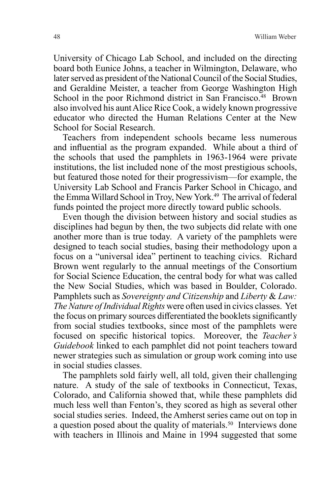University of Chicago Lab School, and included on the directing board both Eunice Johns, a teacher in Wilmington, Delaware, who later served as president of the National Council of the Social Studies, and Geraldine Meister, a teacher from George Washington High School in the poor Richmond district in San Francisco.<sup>48</sup> Brown also involved his aunt Alice Rice Cook, a widely known progressive educator who directed the Human Relations Center at the New School for Social Research.

Teachers from independent schools became less numerous and influential as the program expanded. While about a third of the schools that used the pamphlets in 1963-1964 were private institutions, the list included none of the most prestigious schools, but featured those noted for their progressivism—for example, the University Lab School and Francis Parker School in Chicago, and the Emma Willard School in Troy, New York.<sup>49</sup> The arrival of federal funds pointed the project more directly toward public schools.

Even though the division between history and social studies as disciplines had begun by then, the two subjects did relate with one another more than is true today. A variety of the pamphlets were designed to teach social studies, basing their methodology upon a focus on a "universal idea" pertinent to teaching civics. Richard Brown went regularly to the annual meetings of the Consortium for Social Science Education, the central body for what was called the New Social Studies, which was based in Boulder, Colorado. Pamphlets such as *Sovereignty and Citizenship* and *Liberty* & *Law: The Nature of Individual Rights* were often used in civics classes. Yet the focus on primary sources differentiated the booklets significantly from social studies textbooks, since most of the pamphlets were focused on specific historical topics. Moreover, the *Teacher's Guidebook* linked to each pamphlet did not point teachers toward newer strategies such as simulation or group work coming into use in social studies classes.

The pamphlets sold fairly well, all told, given their challenging nature. A study of the sale of textbooks in Connecticut, Texas, Colorado, and California showed that, while these pamphlets did much less well than Fenton's, they scored as high as several other social studies series. Indeed, the Amherst series came out on top in a question posed about the quality of materials.<sup>50</sup> Interviews done with teachers in Illinois and Maine in 1994 suggested that some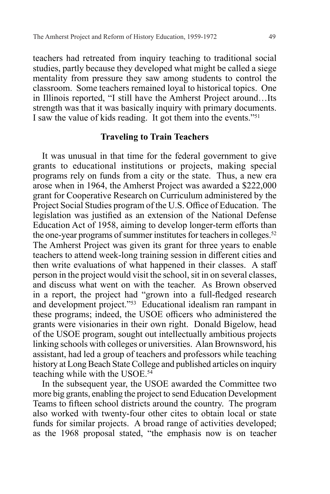teachers had retreated from inquiry teaching to traditional social studies, partly because they developed what might be called a siege mentality from pressure they saw among students to control the classroom. Some teachers remained loyal to historical topics. One in Illinois reported, "I still have the Amherst Project around…Its strength was that it was basically inquiry with primary documents. I saw the value of kids reading. It got them into the events."51

# **Traveling to Train Teachers**

It was unusual in that time for the federal government to give grants to educational institutions or projects, making special programs rely on funds from a city or the state. Thus, a new era arose when in 1964, the Amherst Project was awarded a \$222,000 grant for Cooperative Research on Curriculum administered by the Project Social Studies program of the U.S. Office of Education. The legislation was justified as an extension of the National Defense Education Act of 1958, aiming to develop longer-term efforts than the one-year programs of summer institutes for teachers in colleges.<sup>52</sup> The Amherst Project was given its grant for three years to enable teachers to attend week-long training session in different cities and then write evaluations of what happened in their classes. A staff person in the project would visit the school, sit in on several classes, and discuss what went on with the teacher. As Brown observed in a report, the project had "grown into a full-fledged research and development project."53 Educational idealism ran rampant in these programs; indeed, the USOE officers who administered the grants were visionaries in their own right. Donald Bigelow, head of the USOE program, sought out intellectually ambitious projects linking schools with colleges or universities. Alan Brownsword, his assistant, had led a group of teachers and professors while teaching history at Long Beach State College and published articles on inquiry teaching while with the USOE.54

In the subsequent year, the USOE awarded the Committee two more big grants, enabling the project to send Education Development Teams to fifteen school districts around the country. The program also worked with twenty-four other cites to obtain local or state funds for similar projects. A broad range of activities developed; as the 1968 proposal stated, "the emphasis now is on teacher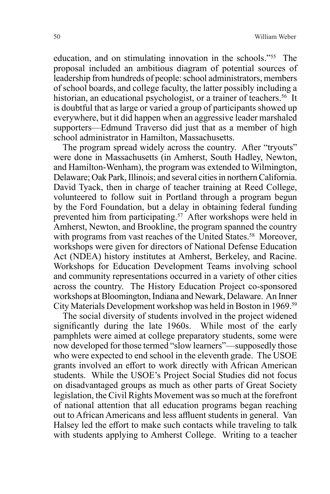education, and on stimulating innovation in the schools."55 The proposal included an ambitious diagram of potential sources of leadership from hundreds of people: school administrators, members of school boards, and college faculty, the latter possibly including a historian, an educational psychologist, or a trainer of teachers.<sup>56</sup> It is doubtful that as large or varied a group of participants showed up everywhere, but it did happen when an aggressive leader marshaled supporters—Edmund Traverso did just that as a member of high school administrator in Hamilton, Massachusetts.

The program spread widely across the country. After "tryouts" were done in Massachusetts (in Amherst, South Hadley, Newton, and Hamilton-Wenham), the program was extended to Wilmington, Delaware; Oak Park, Illinois; and several cities in northern California. David Tyack, then in charge of teacher training at Reed College, volunteered to follow suit in Portland through a program begun by the Ford Foundation, but a delay in obtaining federal funding prevented him from participating.57 After workshops were held in Amherst, Newton, and Brookline, the program spanned the country with programs from vast reaches of the United States.<sup>58</sup> Moreover, workshops were given for directors of National Defense Education Act (NDEA) history institutes at Amherst, Berkeley, and Racine. Workshops for Education Development Teams involving school and community representations occurred in a variety of other cities across the country. The History Education Project co-sponsored workshops at Bloomington, Indiana and Newark, Delaware. An Inner City Materials Development workshop was held in Boston in 1969.59

The social diversity of students involved in the project widened significantly during the late 1960s. While most of the early pamphlets were aimed at college preparatory students, some were now developed for those termed "slow learners"—supposedly those who were expected to end school in the eleventh grade. The USOE grants involved an effort to work directly with African American students. While the USOE's Project Social Studies did not focus on disadvantaged groups as much as other parts of Great Society legislation, the Civil Rights Movement was so much at the forefront of national attention that all education programs began reaching out to African Americans and less affluent students in general. Van Halsey led the effort to make such contacts while traveling to talk with students applying to Amherst College. Writing to a teacher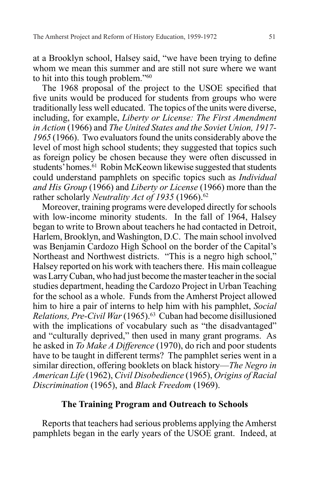at a Brooklyn school, Halsey said, "we have been trying to define whom we mean this summer and are still not sure where we want to hit into this tough problem."60

The 1968 proposal of the project to the USOE specified that five units would be produced for students from groups who were traditionally less well educated. The topics of the units were diverse, including, for example, *Liberty or License: The First Amendment in Action* (1966) and *The United States and the Soviet Union, 1917- 1965* (1966). Two evaluators found the units considerably above the level of most high school students; they suggested that topics such as foreign policy be chosen because they were often discussed in students' homes.<sup>61</sup> Robin McKeown likewise suggested that students could understand pamphlets on specific topics such as *Individual and His Group* (1966) and *Liberty or License* (1966) more than the rather scholarly *Neutrality Act of 1935* (1966).<sup>62</sup>

Moreover, training programs were developed directly for schools with low-income minority students. In the fall of 1964, Halsey began to write to Brown about teachers he had contacted in Detroit, Harlem, Brooklyn, and Washington, D.C. The main school involved was Benjamin Cardozo High School on the border of the Capital's Northeast and Northwest districts. "This is a negro high school," Halsey reported on his work with teachers there. His main colleague was Larry Cuban, who had just become the master teacher in the social studies department, heading the Cardozo Project in Urban Teaching for the school as a whole. Funds from the Amherst Project allowed him to hire a pair of interns to help him with his pamphlet, *Social Relations, Pre-Civil War* (1965).63 Cuban had become disillusioned with the implications of vocabulary such as "the disadvantaged" and "culturally deprived," then used in many grant programs. As he asked in *To Make A Difference* (1970), do rich and poor students have to be taught in different terms? The pamphlet series went in a similar direction, offering booklets on black history—*The Negro in American Life* (1962), *Civil Disobedience* (1965), *Origins of Racial Discrimination* (1965), and *Black Freedom* (1969).

# **The Training Program and Outreach to Schools**

Reports that teachers had serious problems applying the Amherst pamphlets began in the early years of the USOE grant. Indeed, at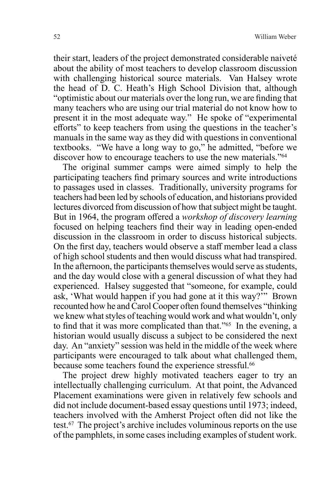their start, leaders of the project demonstrated considerable naiveté about the ability of most teachers to develop classroom discussion with challenging historical source materials. Van Halsey wrote the head of D. C. Heath's High School Division that, although "optimistic about our materials over the long run, we are finding that many teachers who are using our trial material do not know how to present it in the most adequate way." He spoke of "experimental efforts" to keep teachers from using the questions in the teacher's manuals in the same way as they did with questions in conventional textbooks. "We have a long way to go," he admitted, "before we discover how to encourage teachers to use the new materials."64

The original summer camps were aimed simply to help the participating teachers find primary sources and write introductions to passages used in classes. Traditionally, university programs for teachers had been led by schools of education, and historians provided lectures divorced from discussion of how that subject might be taught. But in 1964, the program offered a *workshop of discovery learning* focused on helping teachers find their way in leading open-ended discussion in the classroom in order to discuss historical subjects. On the first day, teachers would observe a staff member lead a class of high school students and then would discuss what had transpired. In the afternoon, the participants themselves would serve as students, and the day would close with a general discussion of what they had experienced. Halsey suggested that "someone, for example, could ask, 'What would happen if you had gone at it this way?'" Brown recounted how he and Carol Cooper often found themselves "thinking we knew what styles of teaching would work and what wouldn't, only to find that it was more complicated than that."65 In the evening, a historian would usually discuss a subject to be considered the next day. An "anxiety" session was held in the middle of the week where participants were encouraged to talk about what challenged them, because some teachers found the experience stressful.<sup>66</sup>

The project drew highly motivated teachers eager to try an intellectually challenging curriculum. At that point, the Advanced Placement examinations were given in relatively few schools and did not include document-based essay questions until 1973; indeed, teachers involved with the Amherst Project often did not like the test.67 The project's archive includes voluminous reports on the use of the pamphlets, in some cases including examples of student work.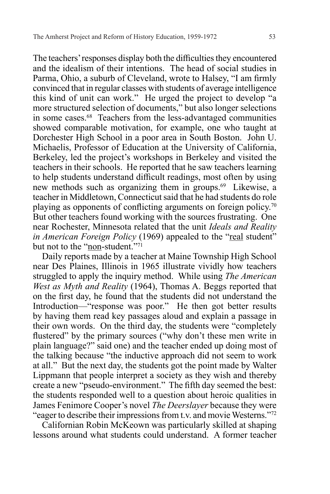The teachers' responses display both the difficulties they encountered and the idealism of their intentions. The head of social studies in Parma, Ohio, a suburb of Cleveland, wrote to Halsey, "I am firmly convinced that in regular classes with students of average intelligence this kind of unit can work." He urged the project to develop "a more structured selection of documents," but also longer selections in some cases.68 Teachers from the less-advantaged communities showed comparable motivation, for example, one who taught at Dorchester High School in a poor area in South Boston. John U. Michaelis, Professor of Education at the University of California, Berkeley, led the project's workshops in Berkeley and visited the teachers in their schools. He reported that he saw teachers learning to help students understand difficult readings, most often by using new methods such as organizing them in groups.69 Likewise, a teacher in Middletown, Connecticut said that he had students do role playing as opponents of conflicting arguments on foreign policy.<sup>70</sup> But other teachers found working with the sources frustrating. One near Rochester, Minnesota related that the unit *Ideals and Reality in American Foreign Policy* (1969) appealed to the "real student" but not to the "non-student."<sup>71</sup>

Daily reports made by a teacher at Maine Township High School near Des Plaines, Illinois in 1965 illustrate vividly how teachers struggled to apply the inquiry method. While using *The American West as Myth and Reality* (1964), Thomas A. Beggs reported that on the first day, he found that the students did not understand the Introduction—"response was poor." He then got better results by having them read key passages aloud and explain a passage in their own words. On the third day, the students were "completely flustered" by the primary sources ("why don't these men write in plain language?" said one) and the teacher ended up doing most of the talking because "the inductive approach did not seem to work at all." But the next day, the students got the point made by Walter Lippmann that people interpret a society as they wish and thereby create a new "pseudo-environment." The fifth day seemed the best: the students responded well to a question about heroic qualities in James Fenimore Cooper's novel *The Deerslayer* because they were "eager to describe their impressions from t.v. and movie Westerns."72

Californian Robin McKeown was particularly skilled at shaping lessons around what students could understand. A former teacher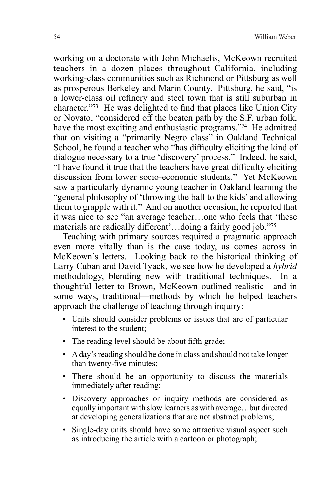working on a doctorate with John Michaelis, McKeown recruited teachers in a dozen places throughout California, including working-class communities such as Richmond or Pittsburg as well as prosperous Berkeley and Marin County. Pittsburg, he said, "is a lower-class oil refinery and steel town that is still suburban in character."73 He was delighted to find that places like Union City or Novato, "considered off the beaten path by the S.F. urban folk, have the most exciting and enthusiastic programs."<sup>74</sup> He admitted that on visiting a "primarily Negro class" in Oakland Technical School, he found a teacher who "has difficulty eliciting the kind of dialogue necessary to a true 'discovery' process." Indeed, he said, "I have found it true that the teachers have great difficulty eliciting discussion from lower socio-economic students." Yet McKeown saw a particularly dynamic young teacher in Oakland learning the "general philosophy of 'throwing the ball to the kids' and allowing them to grapple with it." And on another occasion, he reported that it was nice to see "an average teacher…one who feels that 'these materials are radically different'…doing a fairly good job."<sup>75</sup>

Teaching with primary sources required a pragmatic approach even more vitally than is the case today, as comes across in McKeown's letters. Looking back to the historical thinking of Larry Cuban and David Tyack, we see how he developed a *hybrid* methodology, blending new with traditional techniques. In a thoughtful letter to Brown, McKeown outlined realistic—and in some ways, traditional—methods by which he helped teachers approach the challenge of teaching through inquiry:

- Units should consider problems or issues that are of particular interest to the student;
- The reading level should be about fifth grade;
- A day's reading should be done in class and should not take longer than twenty-five minutes;
- There should be an opportunity to discuss the materials immediately after reading;
- Discovery approaches or inquiry methods are considered as equally important with slow learners as with average…but directed at developing generalizations that are not abstract problems;
- Single-day units should have some attractive visual aspect such as introducing the article with a cartoon or photograph;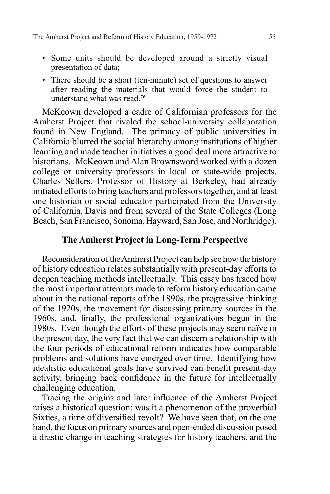- Some units should be developed around a strictly visual presentation of data;
- There should be a short (ten-minute) set of questions to answer after reading the materials that would force the student to understand what was read.76

McKeown developed a cadre of Californian professors for the Amherst Project that rivaled the school-university collaboration found in New England. The primacy of public universities in California blurred the social hierarchy among institutions of higher learning and made teacher initiatives a good deal more attractive to historians. McKeown and Alan Brownsword worked with a dozen college or university professors in local or state-wide projects. Charles Sellers, Professor of History at Berkeley, had already initiated efforts to bring teachers and professors together, and at least one historian or social educator participated from the University of California, Davis and from several of the State Colleges (Long Beach, San Francisco, Sonoma, Hayward, San Jose, and Northridge).

# **The Amherst Project in Long-Term Perspective**

Reconsideration of the Amherst Project can help see how the history of history education relates substantially with present-day efforts to deepen teaching methods intellectually. This essay has traced how the most important attempts made to reform history education came about in the national reports of the 1890s, the progressive thinking of the 1920s, the movement for discussing primary sources in the 1960s, and, finally, the professional organizations begun in the 1980s. Even though the efforts of these projects may seem naïve in the present day, the very fact that we can discern a relationship with the four periods of educational reform indicates how comparable problems and solutions have emerged over time. Identifying how idealistic educational goals have survived can benefit present-day activity, bringing back confidence in the future for intellectually challenging education.

Tracing the origins and later influence of the Amherst Project raises a historical question: was it a phenomenon of the proverbial Sixties, a time of diversified revolt? We have seen that, on the one hand, the focus on primary sources and open-ended discussion posed a drastic change in teaching strategies for history teachers, and the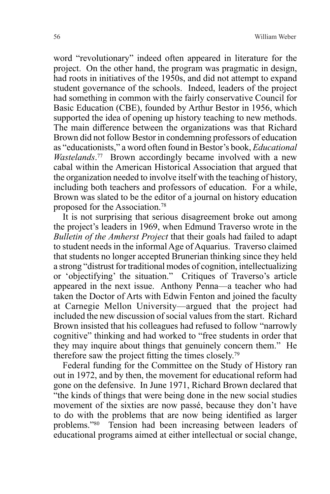word "revolutionary" indeed often appeared in literature for the project. On the other hand, the program was pragmatic in design, had roots in initiatives of the 1950s, and did not attempt to expand student governance of the schools. Indeed, leaders of the project had something in common with the fairly conservative Council for Basic Education (CBE), founded by Arthur Bestor in 1956, which supported the idea of opening up history teaching to new methods. The main difference between the organizations was that Richard Brown did not follow Bestor in condemning professors of education as "educationists," a word often found in Bestor's book, *Educational Wastelands*. 77 Brown accordingly became involved with a new cabal within the American Historical Association that argued that the organization needed to involve itself with the teaching of history, including both teachers and professors of education. For a while, Brown was slated to be the editor of a journal on history education proposed for the Association.78

It is not surprising that serious disagreement broke out among the project's leaders in 1969, when Edmund Traverso wrote in the *Bulletin of the Amherst Project* that their goals had failed to adapt to student needs in the informal Age of Aquarius. Traverso claimed that students no longer accepted Brunerian thinking since they held a strong "distrust for traditional modes of cognition, intellectualizing or 'objectifying' the situation." Critiques of Traverso's article appeared in the next issue. Anthony Penna—a teacher who had taken the Doctor of Arts with Edwin Fenton and joined the faculty at Carnegie Mellon University—argued that the project had included the new discussion of social values from the start. Richard Brown insisted that his colleagues had refused to follow "narrowly cognitive" thinking and had worked to "free students in order that they may inquire about things that genuinely concern them." He therefore saw the project fitting the times closely.<sup>79</sup>

Federal funding for the Committee on the Study of History ran out in 1972, and by then, the movement for educational reform had gone on the defensive. In June 1971, Richard Brown declared that "the kinds of things that were being done in the new social studies movement of the sixties are now passé, because they don't have to do with the problems that are now being identified as larger problems."80 Tension had been increasing between leaders of educational programs aimed at either intellectual or social change,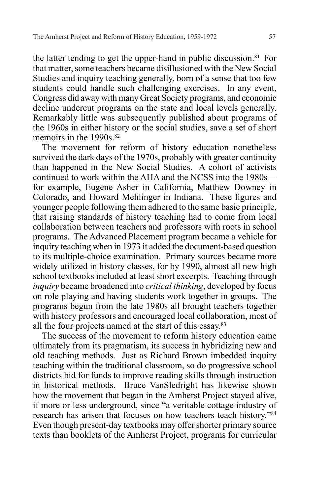the latter tending to get the upper-hand in public discussion.<sup>81</sup> For that matter, some teachers became disillusioned with the New Social Studies and inquiry teaching generally, born of a sense that too few students could handle such challenging exercises. In any event, Congress did away with many Great Society programs, and economic decline undercut programs on the state and local levels generally. Remarkably little was subsequently published about programs of the 1960s in either history or the social studies, save a set of short memoirs in the 1990s.<sup>82</sup>

The movement for reform of history education nonetheless survived the dark days of the 1970s, probably with greater continuity than happened in the New Social Studies. A cohort of activists continued to work within the AHA and the NCSS into the 1980s for example, Eugene Asher in California, Matthew Downey in Colorado, and Howard Mehlinger in Indiana. These figures and younger people following them adhered to the same basic principle, that raising standards of history teaching had to come from local collaboration between teachers and professors with roots in school programs. The Advanced Placement program became a vehicle for inquiry teaching when in 1973 it added the document-based question to its multiple-choice examination. Primary sources became more widely utilized in history classes, for by 1990, almost all new high school textbooks included at least short excerpts. Teaching through *inquiry* became broadened into *critical thinking*, developed by focus on role playing and having students work together in groups. The programs begun from the late 1980s all brought teachers together with history professors and encouraged local collaboration, most of all the four projects named at the start of this essay.83

The success of the movement to reform history education came ultimately from its pragmatism, its success in hybridizing new and old teaching methods. Just as Richard Brown imbedded inquiry teaching within the traditional classroom, so do progressive school districts bid for funds to improve reading skills through instruction in historical methods. Bruce VanSledright has likewise shown how the movement that began in the Amherst Project stayed alive, if more or less underground, since "a veritable cottage industry of research has arisen that focuses on how teachers teach history."84 Even though present-day textbooks may offer shorter primary source texts than booklets of the Amherst Project, programs for curricular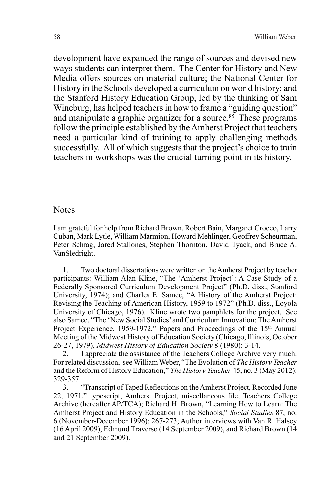development have expanded the range of sources and devised new ways students can interpret them. The Center for History and New Media offers sources on material culture; the National Center for History in the Schools developed a curriculum on world history; and the Stanford History Education Group, led by the thinking of Sam Wineburg, has helped teachers in how to frame a "guiding question" and manipulate a graphic organizer for a source.<sup>85</sup> These programs follow the principle established by the Amherst Project that teachers need a particular kind of training to apply challenging methods successfully. All of which suggests that the project's choice to train teachers in workshops was the crucial turning point in its history.

#### **Notes**

I am grateful for help from Richard Brown, Robert Bain, Margaret Crocco, Larry Cuban, Mark Lytle, William Marmion, Howard Mehlinger, Geoffrey Scheurman, Peter Schrag, Jared Stallones, Stephen Thornton, David Tyack, and Bruce A. VanSledright.

1. Two doctoral dissertations were written on the Amherst Project by teacher participants: William Alan Kline, "The 'Amherst Project': A Case Study of a Federally Sponsored Curriculum Development Project" (Ph.D. diss., Stanford University, 1974); and Charles E. Samec, "A History of the Amherst Project: Revising the Teaching of American History, 1959 to 1972" (Ph.D. diss., Loyola University of Chicago, 1976). Kline wrote two pamphlets for the project. See also Samec, "The 'New Social Studies' and Curriculum Innovation: The Amherst Project Experience, 1959-1972," Papers and Proceedings of the 15<sup>th</sup> Annual Meeting of the Midwest History of Education Society (Chicago, Illinois, October 26-27, 1979), *Midwest History of Education Society* 8 (1980): 3-14.

2. I appreciate the assistance of the Teachers College Archive very much. For related discussion, see William Weber, "The Evolution of *The History Teacher*  and the Reform of History Education," *The History Teacher* 45, no. 3 (May 2012): 329-357.

3. "Transcript of Taped Reflections on the Amherst Project, Recorded June 22, 1971," typescript, Amherst Project, miscellaneous file, Teachers College Archive (hereafter AP/TCA); Richard H. Brown, "Learning How to Learn: The Amherst Project and History Education in the Schools," *Social Studies* 87, no. 6 (November-December 1996): 267-273; Author interviews with Van R. Halsey (16 April 2009), Edmund Traverso (14 September 2009), and Richard Brown (14 and 21 September 2009).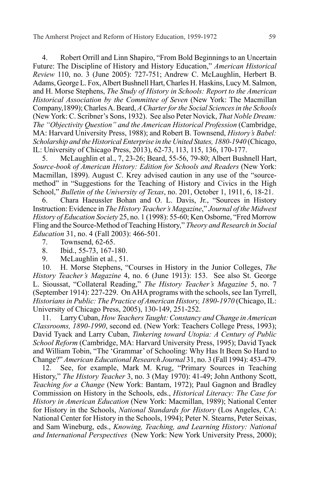4. Robert Orrill and Linn Shapiro, "From Bold Beginnings to an Uncertain Future: The Discipline of History and History Education," *American Historical Review* 110, no. 3 (June 2005): 727-751; Andrew C. McLaughlin, Herbert B. Adams, George L. Fox, Albert Bushnell Hart, Charles H. Haskins, Lucy M. Salmon, and H. Morse Stephens, *The Study of History in Schools: Report to the American Historical Association by the Committee of Seven* (New York: The Macmillan Company,1899); Charles A. Beard, *A Charter for the Social Sciences in the Schools*  (New York: C. Scribner's Sons, 1932). See also Peter Novick, *That Noble Dream: The "Objectivity Question" and the American Historical Profession* (Cambridge, MA: Harvard University Press, 1988); and Robert B. Townsend, *History's Babel: Scholarship and the Historical Enterprise in the United States, 1880-1940* (Chicago, IL: University of Chicago Press, 2013), 62-73, 113, 115, 136, 170-177.

5. McLaughlin et al., 7, 23-26; Beard, 55-56, 79-80; Albert Bushnell Hart, *Source-book of American History: Edition for Schools and Readers* (New York: Macmillan, 1899). August C. Krey advised caution in any use of the "sourcemethod" in "Suggestions for the Teaching of History and Civics in the High School," *Bulletin of the University of Texas*, no. 201, October 1, 1911, 6, 18-21.

6. Chara Haeussler Bohan and O. L. Davis, Jr., "Sources in History Instruction: Evidence in *The History Teacher's Magazine*," *Journal of the Midwest History of Education Society* 25, no. 1 (1998): 55-60; Ken Osborne, "Fred Morrow Fling and the Source-Method of Teaching History," *Theory and Research in Social Education* 31, no. 4 (Fall 2003): 466-501.

- 7. Townsend, 62-65.
- 8. Ibid., 55-73, 167-180.
- 9. McLaughlin et al., 51.

10. H. Morse Stephens, "Courses in History in the Junior Colleges, *The History Teacher's Magazine* 4, no. 6 (June 1913): 153. See also St. George L. Sioussat, "Collateral Reading," *The History Teacher's Magazine* 5, no. 7 (September 1914): 227-229. On AHA programs with the schools, see Ian Tyrrell, *Historians in Public: The Practice of American History, 1890-1970* (Chicago, IL: University of Chicago Press, 2005), 130-149, 251-252.

11. Larry Cuban, *How Teachers Taught: Constancy and Change in American Classrooms, 1890-1990*, second ed. (New York: Teachers College Press, 1993); David Tyack and Larry Cuban, *Tinkering toward Utopia: A Century of Public School Reform* (Cambridge, MA: Harvard University Press, 1995); David Tyack and William Tobin, "The 'Grammar' of Schooling: Why Has It Been So Hard to Change?" *American Educational Research Journal* 31, no. 3 (Fall 1994): 453-479.

12. See, for example, Mark M. Krug, "Primary Sources in Teaching History," *The History Teacher* 3, no. 3 (May 1970): 41-49; John Anthony Scott, *Teaching for a Change* (New York: Bantam, 1972); Paul Gagnon and Bradley Commission on History in the Schools, eds., *Historical Literacy: The Case for History in American Education* (New York: Macmillan, 1989); National Center for History in the Schools, *National Standards for History* (Los Angeles, CA: National Center for History in the Schools, 1994); Peter N. Stearns, Peter Seixas, and Sam Wineburg, eds., *Knowing, Teaching, and Learning History: National and International Perspectives* (New York: New York University Press, 2000);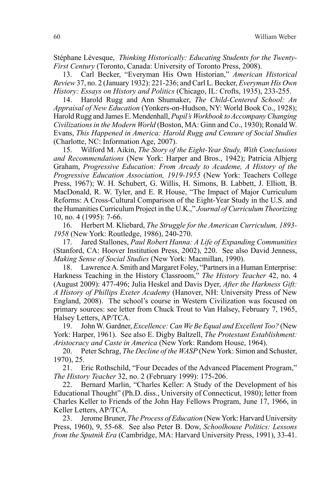Stéphane Lévesque, *Thinking Historically: Educating Students for the Twenty-First Century* (Toronto, Canada: University of Toronto Press, 2008).

13. Carl Becker, "Everyman His Own Historian," *American Historical Review* 37, no. 2 (January 1932): 221-236; and Carl L. Becker, *Everyman His Own History: Essays on History and Politics* (Chicago, IL: Crofts, 1935), 233-255.

14. Harold Rugg and Ann Shumaker, *The Child-Centered School: An Appraisal of New Education* (Yonkers-on-Hudson, NY: World Book Co., 1928); Harold Rugg and James E. Mendenhall, *Pupil's Workbook to Accompany Changing Civilizations in the Modern World* (Boston, MA: Ginn and Co., 1930); Ronald W. Evans, *This Happened in America: Harold Rugg and Censure of Social Studies* (Charlotte, NC: Information Age, 2007).

15. Wilford M. Aikin, *The Story of the Eight-Year Study, With Conclusions and Recommendations* (New York: Harper and Bros., 1942); Patricia Albjerg Graham, *Progressive Education: From Arcady to Academe, A History of the Progressive Education Association, 1919-1955* (New York: Teachers College Press, 1967); W. H. Schubert, G. Willis, H. Simons, B. Labbett, J. Elliott, B. MacDonald, R. W. Tyler, and E. R House, "The Impact of Major Curriculum Reforms: A Cross-Cultural Comparison of the Eight-Year Study in the U.S. and the Humanities Curriculum Project in the U.K.," *Journal of Curriculum Theorizing*  10, no. 4 (1995): 7-66.

16. Herbert M. Kliebard, *The Struggle for the American Curriculum, 1893- 1958* (New York: Routledge, 1986), 240-270.

17. Jared Stallones, *Paul Robert Hanna: A Life of Expanding Communities* (Stanford, CA: Hoover Institution Press, 2002), 220. See also David Jenness, *Making Sense of Social Studies* (New York: Macmillan, 1990).

18. Lawrence A. Smith and Margaret Foley, "Partners in a Human Enterprise: Harkness Teaching in the History Classroom," *The History Teacher* 42, no. 4 (August 2009): 477-496; Julia Heskel and Davis Dyer, *After the Harkness Gift: A History of Phillips Exeter Academy* (Hanover, NH: University Press of New England, 2008). The school's course in Western Civilization was focused on primary sources: see letter from Chuck Trout to Van Halsey, February 7, 1965, Halsey Letters, AP/TCA.

19. John W. Gardner, *Excellence: Can We Be Equal and Excellent Too?* (New York: Harper, 1961). See also E. Digby Baltzell, *The Protestant Establishment: Aristocracy and Caste in America* (New York: Random House, 1964).

20. Peter Schrag, *The Decline of the WASP* (New York: Simon and Schuster, 1970), 25.

21. Eric Rothschild, "Four Decades of the Advanced Placement Program," *The History Teacher* 32, no. 2 (February 1999): 175-206.

22. Bernard Marlin, "Charles Keller: A Study of the Development of his Educational Thought" (Ph.D. diss., University of Connecticut, 1980); letter from Charles Keller to Friends of the John Hay Fellows Program, June 17, 1966, in Keller Letters, AP/TCA.

23. Jerome Bruner, *The Process of Education* (New York: Harvard University Press, 1960), 9, 55-68. See also Peter B. Dow, *Schoolhouse Politics: Lessons from the Sputnik Era* (Cambridge, MA: Harvard University Press, 1991), 33-41.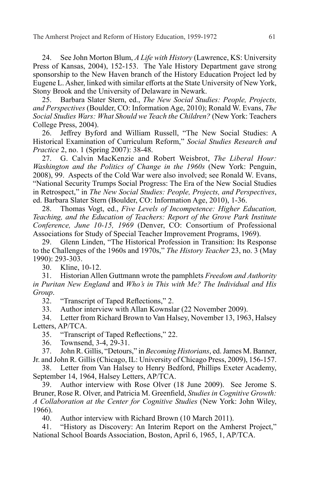24. See John Morton Blum, *A Life with History* (Lawrence, KS: University Press of Kansas, 2004), 152-153. The Yale History Department gave strong sponsorship to the New Haven branch of the History Education Project led by Eugene L. Asher, linked with similar efforts at the State University of New York, Stony Brook and the University of Delaware in Newark.

25. Barbara Slater Stern, ed., *The New Social Studies: People, Projects, and Perspectives* (Boulder, CO: Information Age, 2010); Ronald W. Evans, *The Social Studies Wars: What Should we Teach the Children?* (New York: Teachers College Press, 2004).

26. Jeffrey Byford and William Russell, "The New Social Studies: A Historical Examination of Curriculum Reform," *Social Studies Research and Practice* 2, no. 1 (Spring 2007): 38-48.

27. G. Calvin MacKenzie and Robert Weisbrot, *The Liberal Hour: Washington and the Politics of Change in the 1960s* (New York: Penguin, 2008), 99. Aspects of the Cold War were also involved; see Ronald W. Evans, "National Security Trumps Social Progress: The Era of the New Social Studies in Retrospect," in *The New Social Studies: People, Projects, and Perspectives*, ed. Barbara Slater Stern (Boulder, CO: Information Age, 2010), 1-36.

28. Thomas Vogt, ed., *Five Levels of Incompetence: Higher Education, Teaching, and the Education of Teachers: Report of the Grove Park Institute Conference, June 10-15, 1969* (Denver, CO: Consortium of Professional Associations for Study of Special Teacher Improvement Programs, 1969).

29. Glenn Linden, "The Historical Profession in Transition: Its Response to the Challenges of the 1960s and 1970s," *The History Teacher* 23, no. 3 (May 1990): 293-303.

30. Kline, 10-12.

31. Historian Allen Guttmann wrote the pamphlets *Freedom and Authority in Puritan New England* and *Who's in This with Me? The Individual and His Group*.

32. "Transcript of Taped Reflections," 2.

33. Author interview with Allan Kownslar (22 November 2009).

34. Letter from Richard Brown to Van Halsey, November 13, 1963, Halsey Letters, AP/TCA.

35. "Transcript of Taped Reflections," 22.

36. Townsend, 3-4, 29-31.

37. John R. Gillis, "Detours," in *Becoming Historians*, ed. James M. Banner, Jr. and John R. Gillis (Chicago, IL: University of Chicago Press, 2009), 156-157.

38. Letter from Van Halsey to Henry Bedford, Phillips Exeter Academy, September 14, 1964, Halsey Letters, AP/TCA.

39. Author interview with Rose Olver (18 June 2009). See Jerome S. Bruner, Rose R. Olver, and Patricia M. Greenfield, *Studies in Cognitive Growth: A Collaboration at the Center for Cognitive Studies* (New York: John Wiley, 1966).

40. Author interview with Richard Brown (10 March 2011).

41. "History as Discovery: An Interim Report on the Amherst Project," National School Boards Association, Boston, April 6, 1965, 1, AP/TCA.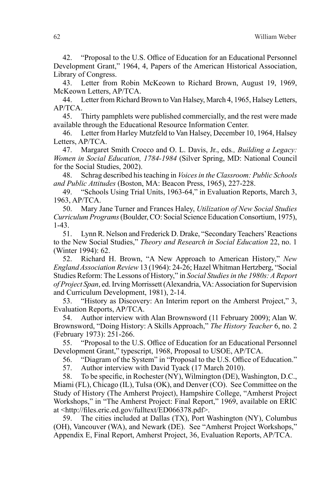42. "Proposal to the U.S. Office of Education for an Educational Personnel Development Grant," 1964, 4, Papers of the American Historical Association, Library of Congress.

43. Letter from Robin McKeown to Richard Brown, August 19, 1969, McKeown Letters, AP/TCA.

44. Letter from Richard Brown to Van Halsey, March 4, 1965, Halsey Letters, AP/TCA.

45. Thirty pamphlets were published commercially, and the rest were made available through the Educational Resource Information Center.

46. Letter from Harley Mutzfeld to Van Halsey, December 10, 1964, Halsey Letters, AP/TCA.

47. Margaret Smith Crocco and O. L. Davis, Jr., eds*., Building a Legacy: Women in Social Education, 1784-1984* (Silver Spring, MD: National Council for the Social Studies, 2002).

48. Schrag described his teaching in *Voices in the Classroom: Public Schools and Public Attitudes* (Boston, MA: Beacon Press, 1965), 227-228.

49. "Schools Using Trial Units, 1963-64," in Evaluation Reports, March 3, 1963, AP/TCA.

50. Mary Jane Turner and Frances Haley, *Utilization of New Social Studies Curriculum Programs* (Boulder, CO: Social Science Education Consortium, 1975), 1-43.

51. Lynn R. Nelson and Frederick D. Drake, "Secondary Teachers' Reactions to the New Social Studies," *Theory and Research in Social Education* 22, no. 1 (Winter 1994): 62.

52. Richard H. Brown, "A New Approach to American History," *New England Association Review* 13 (1964): 24-26; Hazel Whitman Hertzberg, "Social Studies Reform: The Lessons of History," in *Social Studies in the 1980s: A Report of Project Span*, ed. Irving Morrissett (Alexandria, VA: Association for Supervision and Curriculum Development, 1981), 2-14.

53. "History as Discovery: An Interim report on the Amherst Project," 3, Evaluation Reports, AP/TCA.

54. Author interview with Alan Brownsword (11 February 2009); Alan W. Brownsword, "Doing History: A Skills Approach," *The History Teacher* 6, no. 2 (February 1973): 251-266.

55. "Proposal to the U.S. Office of Education for an Educational Personnel Development Grant," typescript, 1968, Proposal to USOE, AP/TCA.

56. "Diagram of the System" in "Proposal to the U.S. Office of Education."

57. Author interview with David Tyack (17 March 2010).

58. To be specific, in Rochester (NY), Wilmington (DE), Washington, D.C., Miami (FL), Chicago (IL), Tulsa (OK), and Denver (CO). See Committee on the Study of History (The Amherst Project), Hampshire College, "Amherst Project Workshops," in "The Amherst Project: Final Report," 1969, available on ERIC at <http://files.eric.ed.gov/fulltext/ED066378.pdf>.

59. The cities included at Dallas (TX), Port Washington (NY), Columbus (OH), Vancouver (WA), and Newark (DE). See "Amherst Project Workshops," Appendix E, Final Report, Amherst Project, 36, Evaluation Reports, AP/TCA.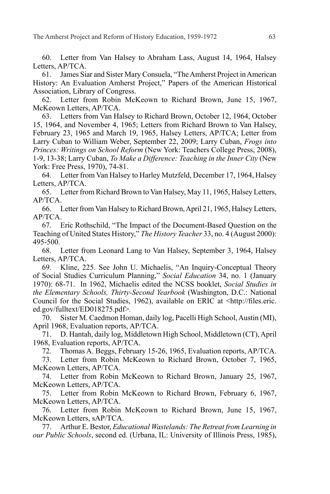60. Letter from Van Halsey to Abraham Lass, August 14, 1964, Halsey Letters, AP/TCA.

61. James Siar and Sister Mary Consuela, "The Amherst Project in American History: An Evaluation Amherst Project," Papers of the American Historical Association, Library of Congress.

62. Letter from Robin McKeown to Richard Brown, June 15, 1967, McKeown Letters, AP/TCA.

63. Letters from Van Halsey to Richard Brown, October 12, 1964, October 15, 1964, and November 4, 1965; Letters from Richard Brown to Van Halsey, February 23, 1965 and March 19, 1965, Halsey Letters, AP/TCA; Letter from Larry Cuban to William Weber, September 22, 2009; Larry Cuban, *Frogs into Princes: Writings on School Reform* (New York: Teachers College Press, 2008), 1-9, 13-38; Larry Cuban, *To Make a Difference: Teaching in the Inner City* (New York: Free Press, 1970), 74-81.

64. Letter from Van Halsey to Harley Mutzfeld, December 17, 1964, Halsey Letters, AP/TCA.

65. Letter from Richard Brown to Van Halsey, May 11, 1965, Halsey Letters, AP/TCA.

66. Letter from Van Halsey to Richard Brown, April 21, 1965, Halsey Letters, AP/TCA.

67. Eric Rothschild, "The Impact of the Document-Based Question on the Teaching of United States History," *The History Teacher* 33, no. 4 (August 2000): 495-500.

68. Letter from Leonard Lang to Van Halsey, September 3, 1964, Halsey Letters, AP/TCA.

69. Kline, 225. See John U. Michaelis, "An Inquiry-Conceptual Theory of Social Studies Curriculum Planning," *Social Education* 34, no. 1 (January 1970): 68-71. In 1962, Michaelis edited the NCSS booklet, *Social Studies in the Elementary Schools, Thirty-Second Yearbook* (Washington, D.C.: National Council for the Social Studies, 1962), available on ERIC at <http://files.eric. ed.gov/fulltext/ED018275.pdf>*.*

70. Sister M. Caedmon Homan, daily log, Pacelli High School, Austin (MI), April 1968, Evaluation reports, AP/TCA.

71. D. Hantah, daily log, Middletown High School, Middletown (CT), April 1968, Evaluation reports, AP/TCA.

72. Thomas A. Beggs, February 15-26, 1965, Evaluation reports, AP/TCA.

73. Letter from Robin McKeown to Richard Brown, October 7, 1965, McKeown Letters, AP/TCA.

74. Letter from Robin McKeown to Richard Brown, January 25, 1967, McKeown Letters, AP/TCA.

75. Letter from Robin McKeown to Richard Brown, February 6, 1967, McKeown Letters, AP/TCA.

76. Letter from Robin McKeown to Richard Brown, June 15, 1967, McKeown Letters, sAP/TCA.

77. Arthur E. Bestor, *Educational Wastelands: The Retreat from Learning in our Public Schools*, second ed. (Urbana, IL: University of Illinois Press, 1985),